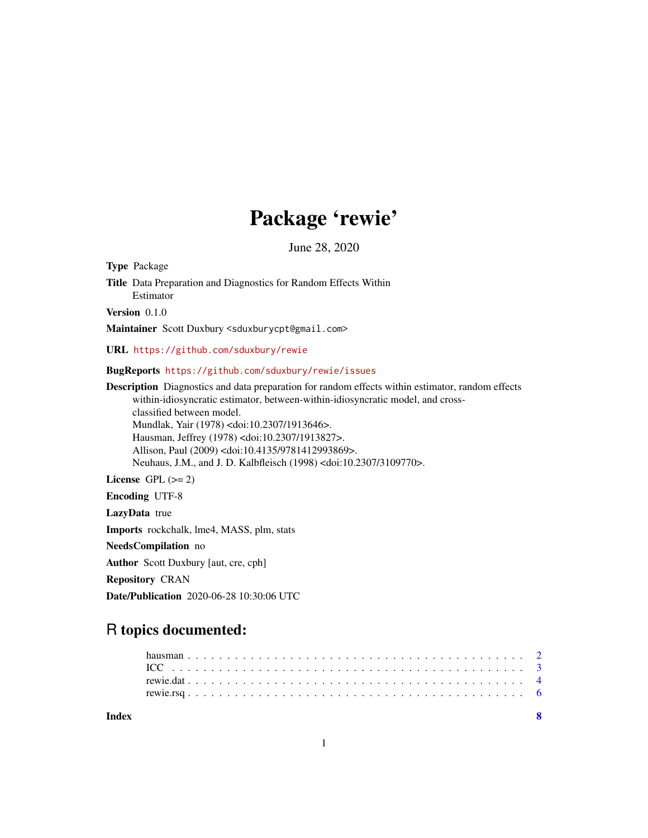## Package 'rewie'

June 28, 2020

<span id="page-0-0"></span>Type Package Title Data Preparation and Diagnostics for Random Effects Within Estimator

Version 0.1.0

Maintainer Scott Duxbury <sduxburycpt@gmail.com>

URL <https://github.com/sduxbury/rewie>

BugReports <https://github.com/sduxbury/rewie/issues>

Description Diagnostics and data preparation for random effects within estimator, random effects within-idiosyncratic estimator, between-within-idiosyncratic model, and crossclassified between model. Mundlak, Yair (1978) <doi:10.2307/1913646>. Hausman, Jeffrey (1978) <doi:10.2307/1913827>. Allison, Paul (2009) <doi:10.4135/9781412993869>. Neuhaus, J.M., and J. D. Kalbfleisch (1998) <doi:10.2307/3109770>. License GPL  $(>= 2)$ 

Encoding UTF-8

LazyData true

Imports rockchalk, lme4, MASS, plm, stats

NeedsCompilation no

Author Scott Duxbury [aut, cre, cph]

Repository CRAN

Date/Publication 2020-06-28 10:30:06 UTC

### R topics documented:

| Index |  |  |  |  |  |  |  |  |  |  |  |  |  |  |  |  |  |  |  |  |  |  |  |
|-------|--|--|--|--|--|--|--|--|--|--|--|--|--|--|--|--|--|--|--|--|--|--|--|
|       |  |  |  |  |  |  |  |  |  |  |  |  |  |  |  |  |  |  |  |  |  |  |  |
|       |  |  |  |  |  |  |  |  |  |  |  |  |  |  |  |  |  |  |  |  |  |  |  |
|       |  |  |  |  |  |  |  |  |  |  |  |  |  |  |  |  |  |  |  |  |  |  |  |
|       |  |  |  |  |  |  |  |  |  |  |  |  |  |  |  |  |  |  |  |  |  |  |  |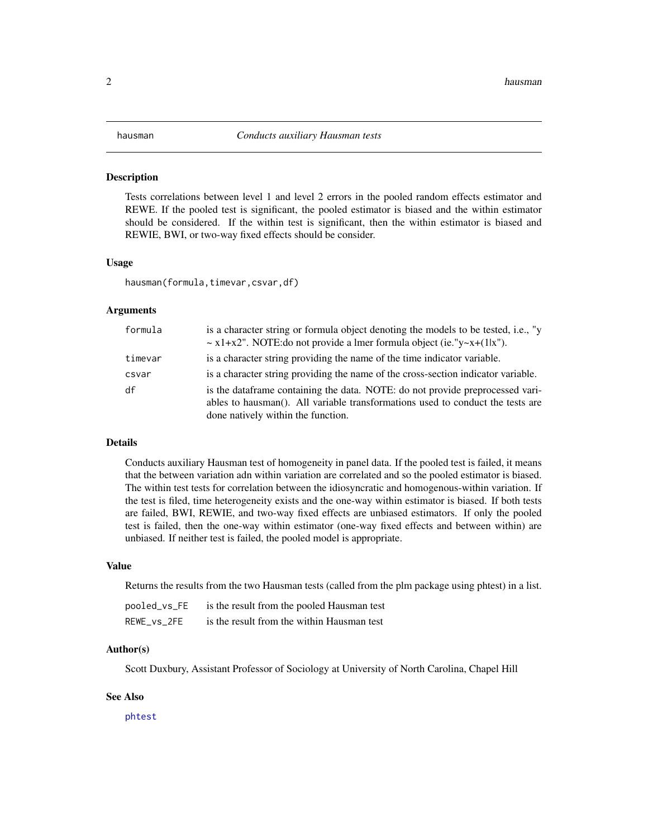#### <span id="page-1-0"></span>Description

Tests correlations between level 1 and level 2 errors in the pooled random effects estimator and REWE. If the pooled test is significant, the pooled estimator is biased and the within estimator should be considered. If the within test is significant, then the within estimator is biased and REWIE, BWI, or two-way fixed effects should be consider.

#### Usage

hausman(formula,timevar,csvar,df)

#### Arguments

| formula | is a character string or formula object denoting the models to be tested, i.e., "y<br>$\sim$ x1+x2". NOTE: do not provide a lmer formula object (ie. "y $\sim$ x+(1 x").                               |
|---------|--------------------------------------------------------------------------------------------------------------------------------------------------------------------------------------------------------|
| timevar | is a character string providing the name of the time indicator variable.                                                                                                                               |
| csvar   | is a character string providing the name of the cross-section indicator variable.                                                                                                                      |
| df      | is the data frame containing the data. NOTE: do not provide preprocessed vari-<br>ables to hausman(). All variable transformations used to conduct the tests are<br>done natively within the function. |

#### Details

Conducts auxiliary Hausman test of homogeneity in panel data. If the pooled test is failed, it means that the between variation adn within variation are correlated and so the pooled estimator is biased. The within test tests for correlation between the idiosyncratic and homogenous-within variation. If the test is filed, time heterogeneity exists and the one-way within estimator is biased. If both tests are failed, BWI, REWIE, and two-way fixed effects are unbiased estimators. If only the pooled test is failed, then the one-way within estimator (one-way fixed effects and between within) are unbiased. If neither test is failed, the pooled model is appropriate.

#### Value

Returns the results from the two Hausman tests (called from the plm package using phtest) in a list.

| pooled_vs_FE | is the result from the pooled Hausman test |
|--------------|--------------------------------------------|
| REWE_vs_2FE  | is the result from the within Hausman test |

#### Author(s)

Scott Duxbury, Assistant Professor of Sociology at University of North Carolina, Chapel Hill

#### See Also

[phtest](#page-0-0)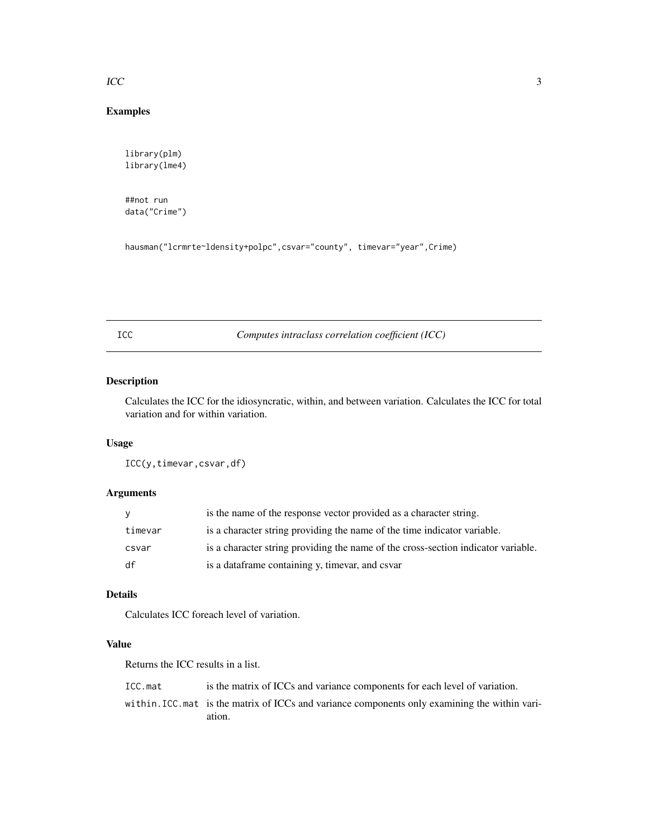#### <span id="page-2-0"></span> $\text{ICC}$  3

#### Examples

```
library(plm)
library(lme4)
```
##not run data("Crime")

```
hausman("lcrmrte~ldensity+polpc",csvar="county", timevar="year",Crime)
```
ICC *Computes intraclass correlation coefficient (ICC)*

#### Description

Calculates the ICC for the idiosyncratic, within, and between variation. Calculates the ICC for total variation and for within variation.

#### Usage

ICC(y,timevar,csvar,df)

#### Arguments

| y       | is the name of the response vector provided as a character string.                |
|---------|-----------------------------------------------------------------------------------|
| timevar | is a character string providing the name of the time indicator variable.          |
| csvar   | is a character string providing the name of the cross-section indicator variable. |
| df      | is a dataframe containing y, timevar, and csvar                                   |

#### Details

Calculates ICC foreach level of variation.

#### Value

Returns the ICC results in a list.

| ICC.mat | is the matrix of ICCs and variance components for each level of variation.                    |
|---------|-----------------------------------------------------------------------------------------------|
|         | within. ICC mat is the matrix of ICCs and variance components only examining the within vari- |
|         | ation.                                                                                        |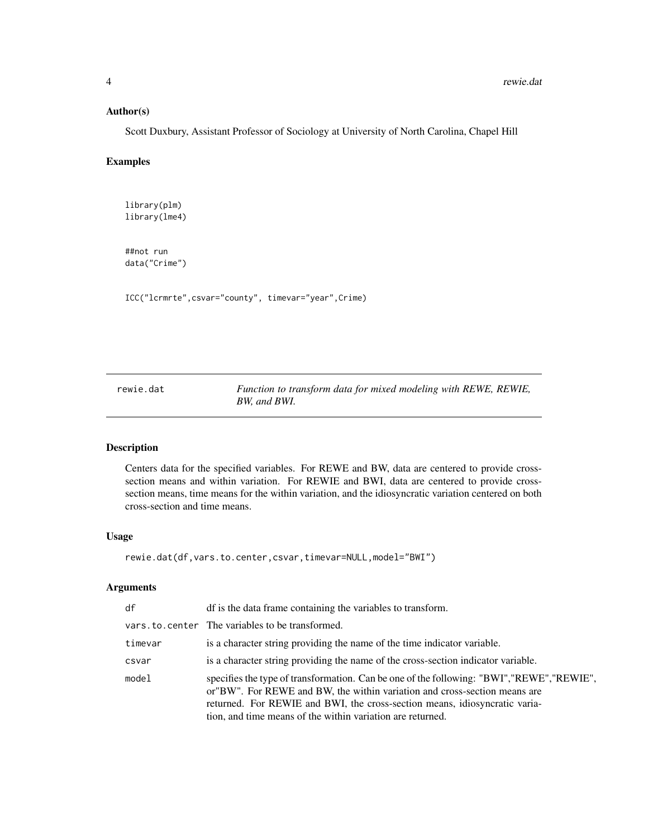#### <span id="page-3-0"></span>Author(s)

Scott Duxbury, Assistant Professor of Sociology at University of North Carolina, Chapel Hill

#### Examples

library(plm) library(lme4)

##not run data("Crime")

ICC("lcrmrte",csvar="county", timevar="year",Crime)

rewie.dat *Function to transform data for mixed modeling with REWE, REWIE, BW, and BWI.*

#### Description

Centers data for the specified variables. For REWE and BW, data are centered to provide crosssection means and within variation. For REWIE and BWI, data are centered to provide crosssection means, time means for the within variation, and the idiosyncratic variation centered on both cross-section and time means.

#### Usage

rewie.dat(df,vars.to.center,csvar,timevar=NULL,model="BWI")

#### Arguments

| df      | df is the data frame containing the variables to transform.                                                                                                                                                                                                                                                         |
|---------|---------------------------------------------------------------------------------------------------------------------------------------------------------------------------------------------------------------------------------------------------------------------------------------------------------------------|
|         | vars.to.center The variables to be transformed.                                                                                                                                                                                                                                                                     |
| timevar | is a character string providing the name of the time indicator variable.                                                                                                                                                                                                                                            |
| csvar   | is a character string providing the name of the cross-section indicator variable.                                                                                                                                                                                                                                   |
| model   | specifies the type of transformation. Can be one of the following: "BWI","REWE", "REWIE",<br>or "BW". For REWE and BW, the within variation and cross-section means are<br>returned. For REWIE and BWI, the cross-section means, idiosyncratic varia-<br>tion, and time means of the within variation are returned. |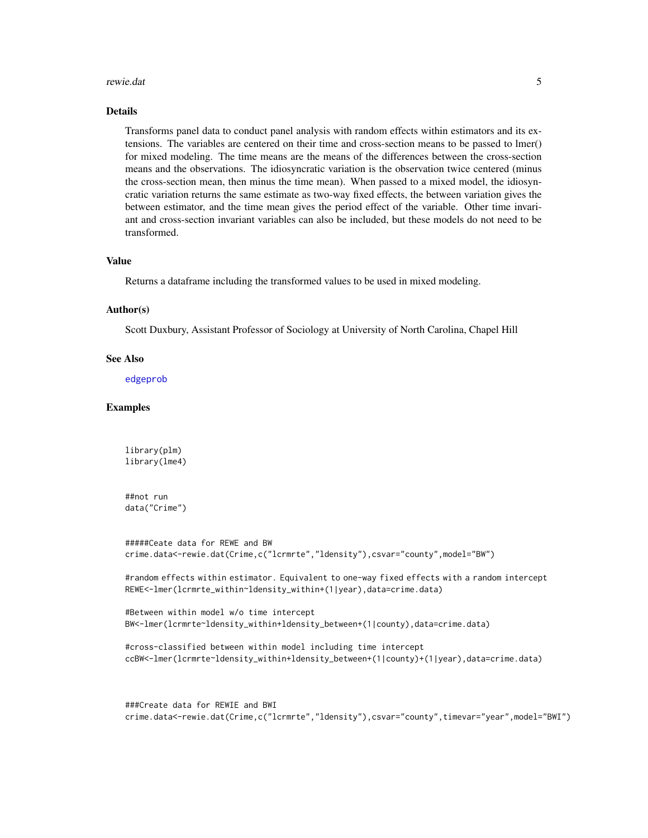#### <span id="page-4-0"></span>rewie.dat 5

#### Details

Transforms panel data to conduct panel analysis with random effects within estimators and its extensions. The variables are centered on their time and cross-section means to be passed to lmer() for mixed modeling. The time means are the means of the differences between the cross-section means and the observations. The idiosyncratic variation is the observation twice centered (minus the cross-section mean, then minus the time mean). When passed to a mixed model, the idiosyncratic variation returns the same estimate as two-way fixed effects, the between variation gives the between estimator, and the time mean gives the period effect of the variable. Other time invariant and cross-section invariant variables can also be included, but these models do not need to be transformed.

#### Value

Returns a dataframe including the transformed values to be used in mixed modeling.

#### Author(s)

Scott Duxbury, Assistant Professor of Sociology at University of North Carolina, Chapel Hill

#### See Also

[edgeprob](#page-0-0)

#### Examples

library(plm) library(lme4)

##not run data("Crime")

```
#####Ceate data for REWE and BW
crime.data<-rewie.dat(Crime,c("lcrmrte","ldensity"),csvar="county",model="BW")
```
#random effects within estimator. Equivalent to one-way fixed effects with a random intercept REWE<-lmer(lcrmrte\_within~ldensity\_within+(1|year),data=crime.data)

```
#Between within model w/o time intercept
BW<-lmer(lcrmrte~ldensity_within+ldensity_between+(1|county),data=crime.data)
```

```
#cross-classified between within model including time intercept
ccBW<-lmer(lcrmrte~ldensity_within+ldensity_between+(1|county)+(1|year),data=crime.data)
```
###Create data for REWIE and BWI crime.data<-rewie.dat(Crime,c("lcrmrte","ldensity"),csvar="county",timevar="year",model="BWI")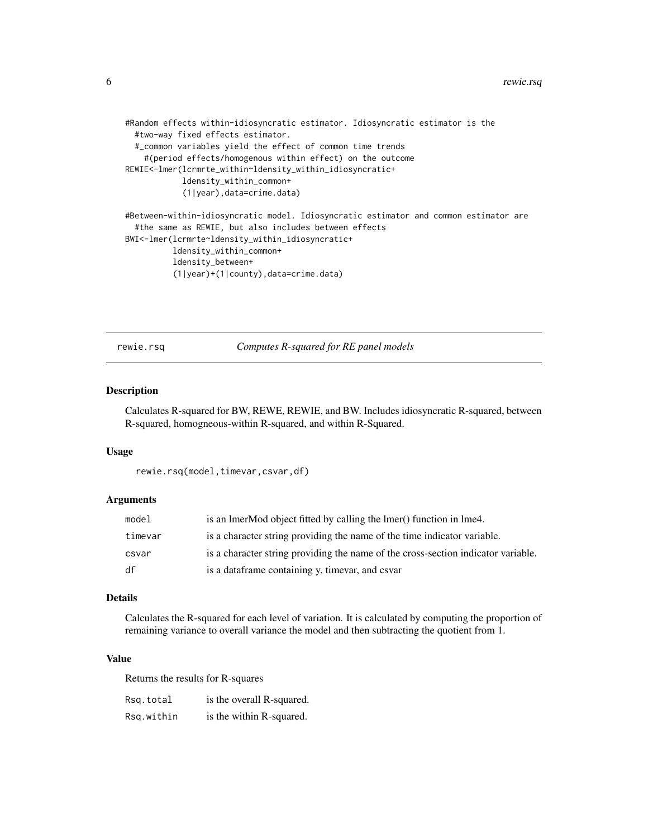```
#Random effects within-idiosyncratic estimator. Idiosyncratic estimator is the
 #two-way fixed effects estimator.
 #_common variables yield the effect of common time trends
    #(period effects/homogenous within effect) on the outcome
REWIE<-lmer(lcrmrte_within~ldensity_within_idiosyncratic+
            ldensity_within_common+
            (1|year),data=crime.data)
#Between-within-idiosyncratic model. Idiosyncratic estimator and common estimator are
 #the same as REWIE, but also includes between effects
BWI<-lmer(lcrmrte~ldensity_within_idiosyncratic+
          ldensity_within_common+
          ldensity_between+
          (1|year)+(1|county),data=crime.data)
```
rewie.rsq *Computes R-squared for RE panel models*

#### Description

Calculates R-squared for BW, REWE, REWIE, and BW. Includes idiosyncratic R-squared, between R-squared, homogneous-within R-squared, and within R-Squared.

#### Usage

rewie.rsq(model,timevar,csvar,df)

#### Arguments

| model   | is an ImerMod object fitted by calling the Imer() function in Ime4.               |
|---------|-----------------------------------------------------------------------------------|
| timevar | is a character string providing the name of the time indicator variable.          |
| csvar   | is a character string providing the name of the cross-section indicator variable. |
| df      | is a dataframe containing y, timevar, and csvar                                   |

#### Details

Calculates the R-squared for each level of variation. It is calculated by computing the proportion of remaining variance to overall variance the model and then subtracting the quotient from 1.

#### Value

Returns the results for R-squares

| Rsq.total  | is the overall R-squared. |
|------------|---------------------------|
| Rsq.within | is the within R-squared.  |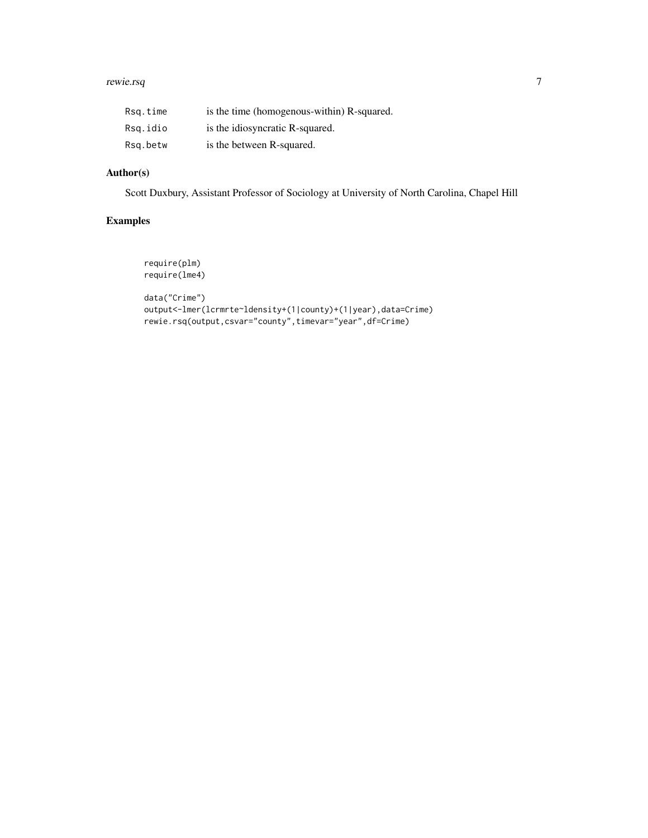#### rewie.rsq 7 and 7 and 7 and 7 and 7 and 7 and 7 and 7 and 7 and 7 and 7 and 7 and 7 and 7 and 7 and 7 and 7 and 7

| Rsq.time | is the time (homogenous-within) R-squared. |
|----------|--------------------------------------------|
| Rsg.idio | is the idiosyncratic R-squared.            |
| Rsg.betw | is the between R-squared.                  |

#### Author(s)

Scott Duxbury, Assistant Professor of Sociology at University of North Carolina, Chapel Hill

#### Examples

```
require(plm)
require(lme4)
data("Crime")
output<-lmer(lcrmrte~ldensity+(1|county)+(1|year),data=Crime)
rewie.rsq(output,csvar="county",timevar="year",df=Crime)
```